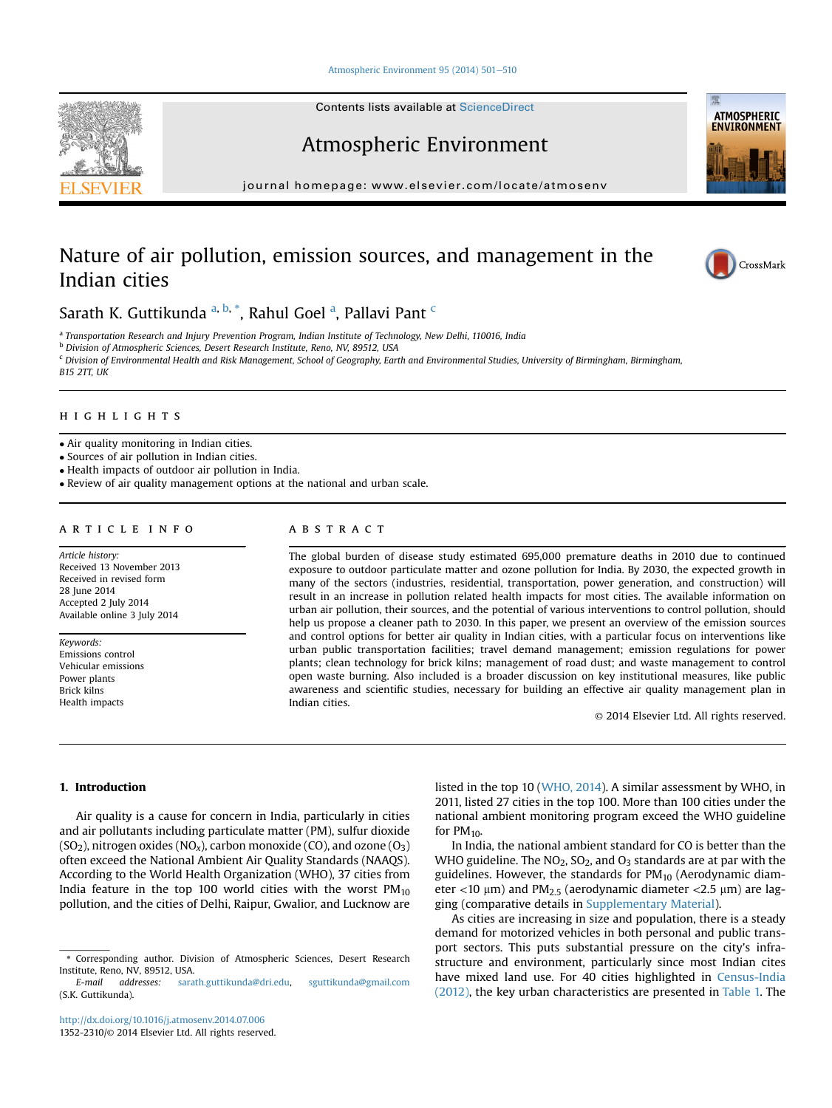[Atmospheric Environment 95 \(2014\) 501](http://dx.doi.org/10.1016/j.atmosenv.2014.07.006)-[510](http://dx.doi.org/10.1016/j.atmosenv.2014.07.006)

Contents lists available at ScienceDirect

# Atmospheric Environment

journal homepage: [www.elsevier.com/locate/atmosenv](http://www.elsevier.com/locate/atmosenv)

# Nature of air pollution, emission sources, and management in the Indian cities



<sup>a</sup> Transportation Research and Injury Prevention Program, Indian Institute of Technology, New Delhi, 110016, India

<sup>b</sup> Division of Atmospheric Sciences, Desert Research Institute, Reno, NV, 89512, USA

<sup>c</sup> Division of Environmental Health and Risk Management, School of Geography, Earth and Environmental Studies, University of Birmingham, Birmingham,

B15 2TT, UK

Air quality monitoring in Indian cities.

Sources of air pollution in Indian cities.

Health impacts of outdoor air pollution in India.

Review of air quality management options at the national and urban scale.

# article info

Article history: Received 13 November 2013 Received in revised form 28 June 2014 Accepted 2 July 2014 Available online 3 July 2014

Keywords: Emissions control Vehicular emissions Power plants Brick kilns Health impacts

# abstract

The global burden of disease study estimated 695,000 premature deaths in 2010 due to continued exposure to outdoor particulate matter and ozone pollution for India. By 2030, the expected growth in many of the sectors (industries, residential, transportation, power generation, and construction) will result in an increase in pollution related health impacts for most cities. The available information on urban air pollution, their sources, and the potential of various interventions to control pollution, should help us propose a cleaner path to 2030. In this paper, we present an overview of the emission sources and control options for better air quality in Indian cities, with a particular focus on interventions like urban public transportation facilities; travel demand management; emission regulations for power plants; clean technology for brick kilns; management of road dust; and waste management to control open waste burning. Also included is a broader discussion on key institutional measures, like public awareness and scientific studies, necessary for building an effective air quality management plan in Indian cities.

© 2014 Elsevier Ltd. All rights reserved.

# 1. Introduction

Air quality is a cause for concern in India, particularly in cities and air pollutants including particulate matter (PM), sulfur dioxide  $(SO<sub>2</sub>)$ , nitrogen oxides  $(NO<sub>x</sub>)$ , carbon monoxide  $(CO<sub>2</sub>)$ , and ozone  $(O<sub>3</sub>)$ often exceed the National Ambient Air Quality Standards (NAAQS). According to the World Health Organization (WHO), 37 cities from India feature in the top 100 world cities with the worst  $PM_{10}$ pollution, and the cities of Delhi, Raipur, Gwalior, and Lucknow are listed in the top 10 ([WHO, 2014\)](#page-9-0). A similar assessment by WHO, in 2011, listed 27 cities in the top 100. More than 100 cities under the national ambient monitoring program exceed the WHO guideline for PM<sub>10</sub>.

In India, the national ambient standard for CO is better than the WHO guideline. The  $NO<sub>2</sub>$ ,  $SO<sub>2</sub>$ , and  $O<sub>3</sub>$  standards are at par with the guidelines. However, the standards for  $PM_{10}$  (Aerodynamic diameter <10  $\mu$ m) and PM<sub>2.5</sub> (aerodynamic diameter <2.5  $\mu$ m) are lagging (comparative details in Supplementary Material).

As cities are increasing in size and population, there is a steady demand for motorized vehicles in both personal and public transport sectors. This puts substantial pressure on the city's infrastructure and environment, particularly since most Indian cites have mixed land use. For 40 cities highlighted in [Census-India](#page-8-0) [\(2012\),](#page-8-0) the key urban characteristics are presented in [Table 1.](#page-1-0) The







<sup>\*</sup> Corresponding author. Division of Atmospheric Sciences, Desert Research Institute, Reno, NV, 89512, USA.<br>E-mail addresses: sara

E-mail addresses: [sarath.guttikunda@dri.edu](mailto:sarath.guttikunda@dri.edu), [sguttikunda@gmail.com](mailto:sguttikunda@gmail.com) (S.K. Guttikunda).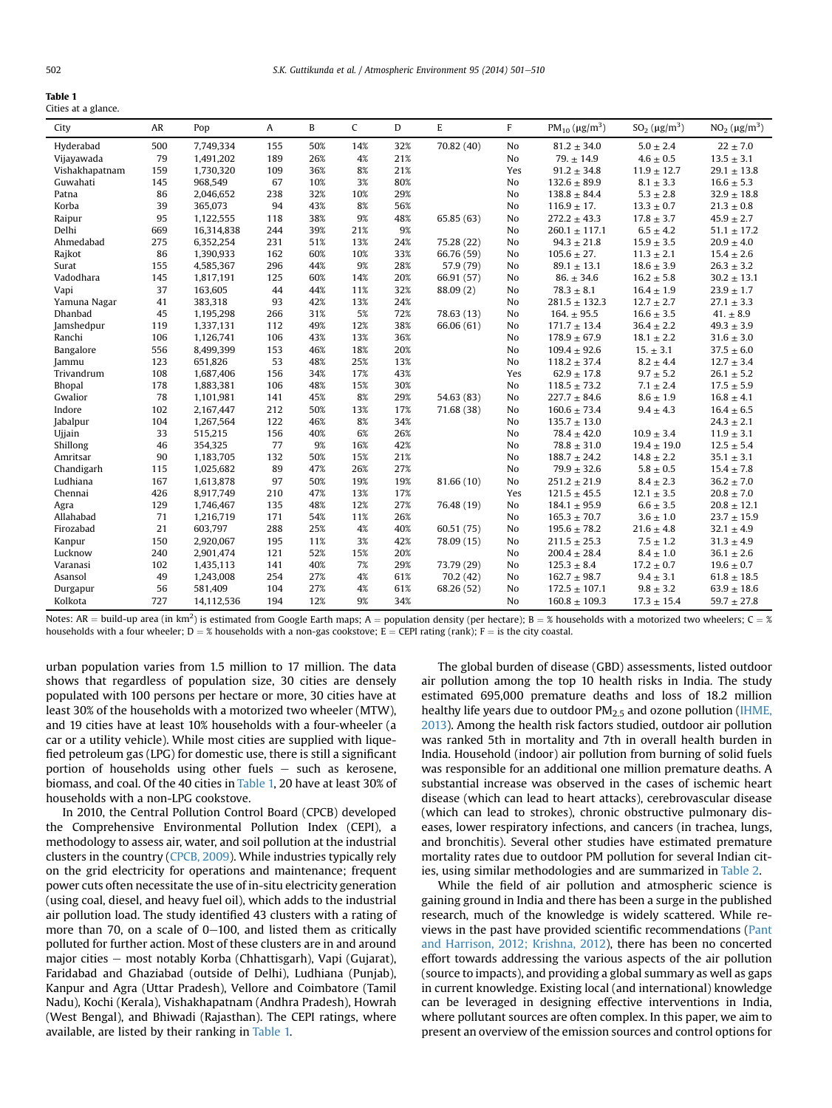<span id="page-1-0"></span>

|--|

|  |  |  | Cities at a glance. |
|--|--|--|---------------------|
|--|--|--|---------------------|

| City           | AR  | Pop        | $\mathsf{A}$ | B   | C   | D   | E          | F              | PM <sub>10</sub> ( $\mu$ g/m <sup>3</sup> ) | $SO_2(\mu g/m^3)$  | $NO_2 (\mu g/m^3)$  |
|----------------|-----|------------|--------------|-----|-----|-----|------------|----------------|---------------------------------------------|--------------------|---------------------|
| Hyderabad      | 500 | 7,749,334  | 155          | 50% | 14% | 32% | 70.82 (40) | N <sub>o</sub> | $81.2 \pm 34.0$                             | $5.0 \pm 2.4$      | $22 \pm 7.0$        |
| Vijayawada     | 79  | 1,491,202  | 189          | 26% | 4%  | 21% |            | N <sub>o</sub> | 79. $\pm$ 14.9                              | $4.6\pm0.5$        | $13.5 \pm 3.1$      |
| Vishakhapatnam | 159 | 1,730,320  | 109          | 36% | 8%  | 21% |            | Yes            | $91.2 \pm 34.8$                             | $11.9 \pm 12.7$    | $29.1 \pm 13.8$     |
| Guwahati       | 145 | 968,549    | 67           | 10% | 3%  | 80% |            | No             | $132.6$ $\pm$ $89.9$                        | $8.1 \pm 3.3$      | $16.6 \pm 5.3$      |
| Patna          | 86  | 2.046.652  | 238          | 32% | 10% | 29% |            | No             | $138.8 \pm 84.4$                            | $5.3 \pm 2.8$      | $32.9 \pm 18.8$     |
| Korba          | 39  | 365,073    | 94           | 43% | 8%  | 56% |            | N <sub>o</sub> | $116.9 \pm 17.$                             | $13.3 \pm 0.7$     | $21.3$ $\pm$ $0.8$  |
| Raipur         | 95  | 1,122,555  | 118          | 38% | 9%  | 48% | 65.85(63)  | No             | $272.2$ $\pm$ $43.3$                        | $17.8 \pm 3.7$     | $45.9 \pm 2.7$      |
| Delhi          | 669 | 16,314,838 | 244          | 39% | 21% | 9%  |            | No             | $260.1 \pm 117.1$                           | $6.5 \pm 4.2$      | $51.1 \pm 17.2$     |
| Ahmedabad      | 275 | 6,352,254  | 231          | 51% | 13% | 24% | 75.28 (22) | No             | $94.3 \pm 21.8$                             | $15.9$ $\pm$ $3.5$ | $20.9$ $\pm$ $4.0$  |
| Rajkot         | 86  | 1,390,933  | 162          | 60% | 10% | 33% | 66.76 (59) | No             | $105.6 \pm 27.$                             | $11.3 \pm 2.1$     | $15.4 \pm 2.6$      |
| Surat          | 155 | 4,585,367  | 296          | 44% | 9%  | 28% | 57.9 (79)  | No             | $89.1 \pm 13.1$                             | $18.6 \pm 3.9$     | $26.3 \pm 3.2$      |
| Vadodhara      | 145 | 1,817,191  | 125          | 60% | 14% | 20% | 66.91 (57) | No             | $86. \pm 34.6$                              | $16.2 \pm 5.8$     | $30.2 \pm 13.1$     |
| Vapi           | 37  | 163,605    | 44           | 44% | 11% | 32% | 88.09 (2)  | No             | $78.3 \pm 8.1$                              | $16.4 \pm 1.9$     | $23.9 \pm 1.7$      |
| Yamuna Nagar   | 41  | 383,318    | 93           | 42% | 13% | 24% |            | No             | $281.5 \pm 132.3$                           | $12.7 \pm 2.7$     | $27.1 \pm 3.3$      |
| Dhanbad        | 45  | 1,195,298  | 266          | 31% | 5%  | 72% | 78.63 (13) | No             | $164. \pm 95.5$                             | $16.6 \pm 3.5$     | 41. $\pm$ 8.9       |
| Jamshedpur     | 119 | 1,337,131  | 112          | 49% | 12% | 38% | 66.06 (61) | No             | $171.7 \pm 13.4$                            | $36.4 \pm 2.2$     | $49.3 \pm 3.9$      |
| Ranchi         | 106 | 1,126,741  | 106          | 43% | 13% | 36% |            | No             | $178.9 \pm 67.9$                            | $18.1 \pm 2.2$     | $31.6 \pm 3.0$      |
| Bangalore      | 556 | 8,499,399  | 153          | 46% | 18% | 20% |            | No             | $109.4 \pm 92.6$                            | $15. \pm 3.1$      | $37.5 \pm 6.0$      |
| Jammu          | 123 | 651,826    | 53           | 48% | 25% | 13% |            | N <sub>o</sub> | $118.2$ $\pm$ $37.4$                        | $8.2 \pm 4.4$      | $12.7 \pm 3.4$      |
| Trivandrum     | 108 | 1,687,406  | 156          | 34% | 17% | 43% |            | Yes            | $62.9 \pm 17.8$                             | $9.7 \pm 5.2$      | $26.1 \pm 5.2$      |
| <b>Bhopal</b>  | 178 | 1,883,381  | 106          | 48% | 15% | 30% |            | No             | $118.5 \pm 73.2$                            | $7.1 \pm 2.4$      | $17.5 \pm 5.9$      |
| Gwalior        | 78  | 1,101,981  | 141          | 45% | 8%  | 29% | 54.63 (83) | No             | $227.7 \pm 84.6$                            | $8.6 \pm 1.9$      | $16.8 \pm 4.1$      |
| Indore         | 102 | 2,167,447  | 212          | 50% | 13% | 17% | 71.68 (38) | No             | $160.6 \pm 73.4$                            | $9.4 \pm 4.3$      | $16.4 \pm 6.5$      |
| Jabalpur       | 104 | 1,267,564  | 122          | 46% | 8%  | 34% |            | No             | $135.7 \pm 13.0$                            |                    | $24.3 \pm 2.1$      |
| Ujjain         | 33  | 515,215    | 156          | 40% | 6%  | 26% |            | No             | $78.4 \pm 42.0$                             | $10.9\pm3.4$       | $11.9 \pm 3.1$      |
| Shillong       | 46  | 354,325    | 77           | 9%  | 16% | 42% |            | No             | $78.8 \pm 31.0$                             | $19.4 \pm 19.0$    | $12.5 \pm 5.4$      |
| Amritsar       | 90  | 1,183,705  | 132          | 50% | 15% | 21% |            | No             | $188.7 \pm 24.2$                            | $14.8 \pm 2.2$     | $35.1 \pm 3.1$      |
| Chandigarh     | 115 | 1,025,682  | 89           | 47% | 26% | 27% |            | No             | $79.9 \pm 32.6$                             | $5.8 \pm 0.5$      | $15.4 \pm 7.8$      |
| Ludhiana       | 167 | 1,613,878  | 97           | 50% | 19% | 19% | 81.66 (10) | No             | $251.2$ $\pm$ $21.9$                        | $8.4 \pm 2.3$      | $36.2 \pm 7.0$      |
| Chennai        | 426 | 8,917,749  | 210          | 47% | 13% | 17% |            | Yes            | $121.5 \pm 45.5$                            | $12.1 \pm 3.5$     | $20.8 \pm 7.0$      |
| Agra           | 129 | 1,746,467  | 135          | 48% | 12% | 27% | 76.48 (19) | No             | $184.1 \pm 95.9$                            | $6.6 \pm 3.5$      | $20.8 \pm 12.1$     |
| Allahabad      | 71  | 1,216,719  | 171          | 54% | 11% | 26% |            | No             | $165.3 \pm 70.7$                            | $3.6 \pm 1.0$      | $23.7 \pm 15.9$     |
| Firozabad      | 21  | 603,797    | 288          | 25% | 4%  | 40% | 60.51(75)  | No             | $195.6 \pm 78.2$                            | $21.6 \pm 4.8$     | $32.1 \pm 4.9$      |
| Kanpur         | 150 | 2,920,067  | 195          | 11% | 3%  | 42% | 78.09 (15) | No             | $211.5 \pm 25.3$                            | $7.5 \pm 1.2$      | $31.3 \pm 4.9$      |
| Lucknow        | 240 | 2,901,474  | 121          | 52% | 15% | 20% |            | No             | $200.4 \pm 28.4$                            | $8.4 \pm 1.0$      | $36.1 \pm 2.6$      |
| Varanasi       | 102 | 1,435,113  | 141          | 40% | 7%  | 29% | 73.79 (29) | No             | $125.3 \pm 8.4$                             | $17.2 \pm 0.7$     | $19.6 \pm 0.7$      |
| Asansol        | 49  | 1,243,008  | 254          | 27% | 4%  | 61% | 70.2(42)   | No             | $162.7 \pm 98.7$                            | $9.4 \pm 3.1$      | $61.8 \pm 18.5$     |
| Durgapur       | 56  | 581,409    | 104          | 27% | 4%  | 61% | 68.26 (52) | No             | $172.5$ $\pm$ $107.1$                       | $9.8\pm3.2$        | $63.9$ $\pm$ $18.6$ |
| Kolkota        | 727 | 14,112,536 | 194          | 12% | 9%  | 34% |            | N <sub>o</sub> | $160.8 \pm 109.3$                           | $17.3 \pm 15.4$    | $59.7 \pm 27.8$     |

Notes: AR  $=$  build-up area (in km<sup>2</sup>) is estimated from Google Earth maps; A  $=$  population density (per hectare); B  $=\mathbb{X}$  households with a motorized two wheelers; C  $=\mathbb{X}$ households with a four wheeler;  $D = \mathcal{X}$  households with a non-gas cookstove;  $E = CEPI$  rating (rank);  $F =$  is the city coastal.

urban population varies from 1.5 million to 17 million. The data shows that regardless of population size, 30 cities are densely populated with 100 persons per hectare or more, 30 cities have at least 30% of the households with a motorized two wheeler (MTW), and 19 cities have at least 10% households with a four-wheeler (a car or a utility vehicle). While most cities are supplied with liquefied petroleum gas (LPG) for domestic use, there is still a significant portion of households using other fuels  $-$  such as kerosene, biomass, and coal. Of the 40 cities in Table 1, 20 have at least 30% of households with a non-LPG cookstove.

In 2010, the Central Pollution Control Board (CPCB) developed the Comprehensive Environmental Pollution Index (CEPI), a methodology to assess air, water, and soil pollution at the industrial clusters in the country ([CPCB, 2009](#page-8-0)). While industries typically rely on the grid electricity for operations and maintenance; frequent power cuts often necessitate the use of in-situ electricity generation (using coal, diesel, and heavy fuel oil), which adds to the industrial air pollution load. The study identified 43 clusters with a rating of more than 70, on a scale of  $0-100$ , and listed them as critically polluted for further action. Most of these clusters are in and around major cities – most notably Korba (Chhattisgarh), Vapi (Gujarat), Faridabad and Ghaziabad (outside of Delhi), Ludhiana (Punjab), Kanpur and Agra (Uttar Pradesh), Vellore and Coimbatore (Tamil Nadu), Kochi (Kerala), Vishakhapatnam (Andhra Pradesh), Howrah (West Bengal), and Bhiwadi (Rajasthan). The CEPI ratings, where available, are listed by their ranking in Table 1.

The global burden of disease (GBD) assessments, listed outdoor air pollution among the top 10 health risks in India. The study estimated 695,000 premature deaths and loss of 18.2 million healthy life years due to outdoor  $PM<sub>2.5</sub>$  and ozone pollution [\(IHME,](#page-8-0) [2013\)](#page-8-0). Among the health risk factors studied, outdoor air pollution was ranked 5th in mortality and 7th in overall health burden in India. Household (indoor) air pollution from burning of solid fuels was responsible for an additional one million premature deaths. A substantial increase was observed in the cases of ischemic heart disease (which can lead to heart attacks), cerebrovascular disease (which can lead to strokes), chronic obstructive pulmonary diseases, lower respiratory infections, and cancers (in trachea, lungs, and bronchitis). Several other studies have estimated premature mortality rates due to outdoor PM pollution for several Indian cities, using similar methodologies and are summarized in [Table 2.](#page-2-0)

While the field of air pollution and atmospheric science is gaining ground in India and there has been a surge in the published research, much of the knowledge is widely scattered. While reviews in the past have provided scientific recommendations [\(Pant](#page-9-0) [and Harrison, 2012; Krishna, 2012\)](#page-9-0), there has been no concerted effort towards addressing the various aspects of the air pollution (source to impacts), and providing a global summary as well as gaps in current knowledge. Existing local (and international) knowledge can be leveraged in designing effective interventions in India, where pollutant sources are often complex. In this paper, we aim to present an overview of the emission sources and control options for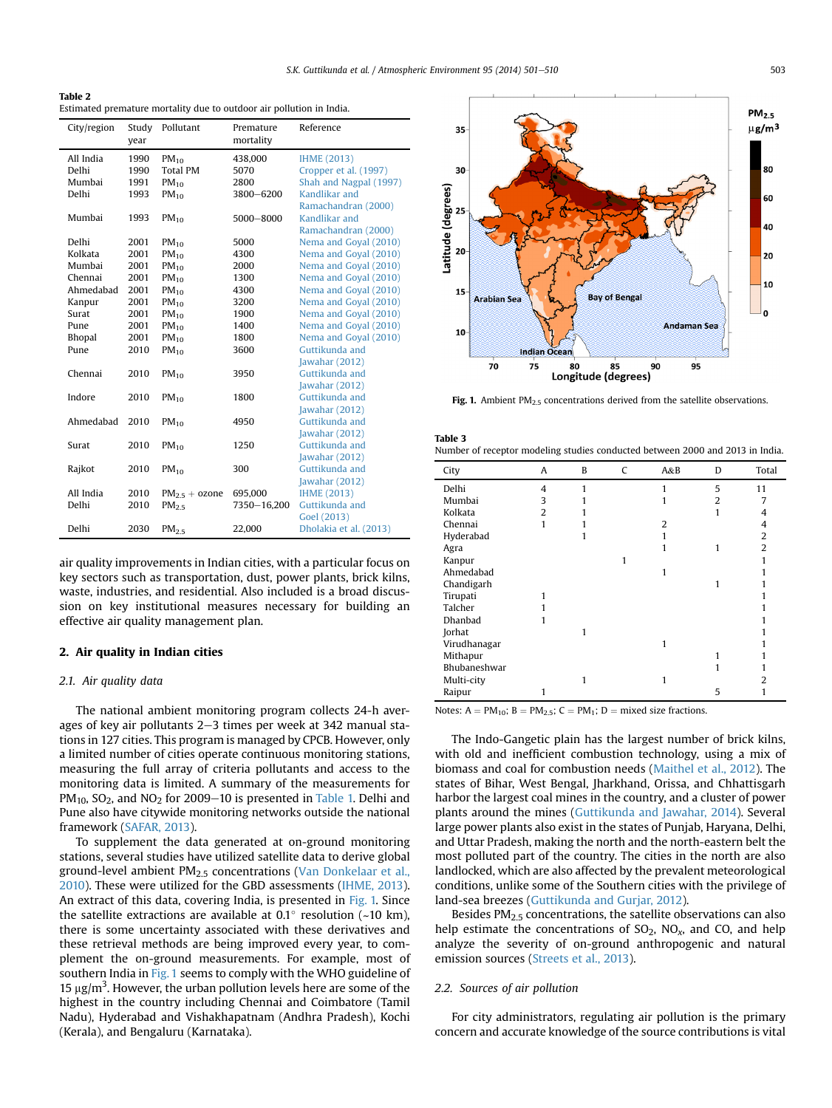<span id="page-2-0"></span>

| Table 2                                                              |
|----------------------------------------------------------------------|
| Estimated premature mortality due to outdoor air pollution in India. |

| City/region | Study<br>year | Pollutant                 | Premature<br>mortality | Reference              |
|-------------|---------------|---------------------------|------------------------|------------------------|
| All India   | 1990          | $PM_{10}$                 | 438,000                | <b>IHME (2013)</b>     |
| Delhi       | 1990          | <b>Total PM</b>           | 5070                   | Cropper et al. (1997)  |
| Mumbai      | 1991          | $PM_{10}$                 | 2800                   | Shah and Nagpal (1997) |
| Delhi       | 1993          | $PM_{10}$                 | 3800-6200              | Kandlikar and          |
|             |               |                           |                        | Ramachandran (2000)    |
| Mumbai      | 1993          | $PM_{10}$                 | 5000-8000              | Kandlikar and          |
|             |               |                           |                        | Ramachandran (2000)    |
| Delhi       | 2001          | $PM_{10}$                 | 5000                   | Nema and Goyal (2010)  |
| Kolkata     | 2001          | $PM_{10}$                 | 4300                   | Nema and Goyal (2010)  |
| Mumbai      | 2001          | $PM_{10}$                 | 2000                   | Nema and Goyal (2010)  |
| Chennai     | 2001          | $PM_{10}$                 | 1300                   | Nema and Goyal (2010)  |
| Ahmedabad   | 2001          | $PM_{10}$                 | 4300                   | Nema and Goyal (2010)  |
| Kanpur      | 2001          | $PM_{10}$                 | 3200                   | Nema and Goyal (2010)  |
| Surat       | 2001          | $PM_{10}$                 | 1900                   | Nema and Goyal (2010)  |
| Pune        | 2001          | $PM_{10}$                 | 1400                   | Nema and Goyal (2010)  |
| Bhopal      | 2001          | $PM_{10}$                 | 1800                   | Nema and Goyal (2010)  |
| Pune        | 2010          | $PM_{10}$                 | 3600                   | Guttikunda and         |
|             |               |                           |                        | Jawahar (2012)         |
| Chennai     | 2010          | $PM_{10}$                 | 3950                   | Guttikunda and         |
|             |               |                           |                        | Jawahar (2012)         |
| Indore      | 2010          | $PM_{10}$                 | 1800                   | Guttikunda and         |
|             |               |                           |                        | Jawahar (2012)         |
| Ahmedabad   | 2010          | $PM_{10}$                 | 4950                   | Guttikunda and         |
|             |               |                           |                        | Jawahar (2012)         |
| Surat       | 2010          | $PM_{10}$                 | 1250                   | Guttikunda and         |
|             |               |                           |                        | Jawahar $(2012)$       |
| Rajkot      | 2010          | $PM_{10}$                 | 300                    | Guttikunda and         |
|             |               |                           |                        | Jawahar (2012)         |
| All India   | 2010          | $PM_{2.5} + \text{ozone}$ | 695,000                | <b>IHME (2013)</b>     |
| Delhi       | 2010          | PM <sub>25</sub>          | 7350-16,200            | Guttikunda and         |
|             |               |                           |                        | Goel (2013)            |
| Delhi       | 2030          | PM <sub>2.5</sub>         | 22,000                 | Dholakia et al. (2013) |

air quality improvements in Indian cities, with a particular focus on key sectors such as transportation, dust, power plants, brick kilns, waste, industries, and residential. Also included is a broad discussion on key institutional measures necessary for building an effective air quality management plan.

## 2. Air quality in Indian cities

# 2.1. Air quality data

The national ambient monitoring program collects 24-h averages of key air pollutants  $2-3$  times per week at 342 manual stations in 127 cities. This program is managed by CPCB. However, only a limited number of cities operate continuous monitoring stations, measuring the full array of criteria pollutants and access to the monitoring data is limited. A summary of the measurements for  $PM_{10}$ , SO<sub>2</sub>, and NO<sub>2</sub> for 2009–10 is presented in [Table 1.](#page-1-0) Delhi and Pune also have citywide monitoring networks outside the national framework ([SAFAR, 2013](#page-9-0)).

To supplement the data generated at on-ground monitoring stations, several studies have utilized satellite data to derive global ground-level ambient PM2.5 concentrations ([Van Donkelaar et al.,](#page-9-0) [2010\)](#page-9-0). These were utilized for the GBD assessments ([IHME, 2013\)](#page-8-0). An extract of this data, covering India, is presented in Fig. 1. Since the satellite extractions are available at  $0.1^{\circ}$  resolution (~10 km), there is some uncertainty associated with these derivatives and these retrieval methods are being improved every year, to complement the on-ground measurements. For example, most of southern India in Fig. 1 seems to comply with the WHO guideline of 15  $\mu$ g/m<sup>3</sup>. However, the urban pollution levels here are some of the highest in the country including Chennai and Coimbatore (Tamil Nadu), Hyderabad and Vishakhapatnam (Andhra Pradesh), Kochi (Kerala), and Bengaluru (Karnataka).



Fig. 1. Ambient  $PM<sub>2.5</sub>$  concentrations derived from the satellite observations.

Table 3 Number of receptor modeling studies conducted between 2000 and 2013 in India.

| City         | A | B | C | A&B            | D | Total |
|--------------|---|---|---|----------------|---|-------|
| Delhi        | 4 |   |   |                | 5 | 11    |
| Mumbai       | 3 |   |   |                | 2 |       |
| Kolkata      | 2 |   |   |                |   | 4     |
| Chennai      | 1 |   |   | $\overline{2}$ |   | 4     |
| Hyderabad    |   |   |   |                |   | 2     |
| Agra         |   |   |   |                |   | 2     |
| Kanpur       |   |   |   |                |   |       |
| Ahmedabad    |   |   |   |                |   |       |
| Chandigarh   |   |   |   |                |   |       |
| Tirupati     |   |   |   |                |   |       |
| Talcher      |   |   |   |                |   |       |
| Dhanbad      |   |   |   |                |   |       |
| Jorhat       |   |   |   |                |   |       |
| Virudhanagar |   |   |   |                |   |       |
| Mithapur     |   |   |   |                |   |       |
| Bhubaneshwar |   |   |   |                |   |       |
| Multi-city   |   |   |   |                |   |       |
| Raipur       |   |   |   |                | 5 |       |

Notes:  $A = PM_{10}$ ;  $B = PM_{2.5}$ ;  $C = PM_1$ ;  $D = mixed size fractions$ .

The Indo-Gangetic plain has the largest number of brick kilns, with old and inefficient combustion technology, using a mix of biomass and coal for combustion needs ([Maithel et al., 2012](#page-9-0)). The states of Bihar, West Bengal, Jharkhand, Orissa, and Chhattisgarh harbor the largest coal mines in the country, and a cluster of power plants around the mines ([Guttikunda and Jawahar, 2014](#page-8-0)). Several large power plants also exist in the states of Punjab, Haryana, Delhi, and Uttar Pradesh, making the north and the north-eastern belt the most polluted part of the country. The cities in the north are also landlocked, which are also affected by the prevalent meteorological conditions, unlike some of the Southern cities with the privilege of land-sea breezes [\(Guttikunda and Gurjar, 2012\)](#page-8-0).

Besides PM2.5 concentrations, the satellite observations can also help estimate the concentrations of  $SO_2$ ,  $NO_x$ , and  $CO$ , and help analyze the severity of on-ground anthropogenic and natural emission sources [\(Streets et al., 2013\)](#page-9-0).

# 2.2. Sources of air pollution

For city administrators, regulating air pollution is the primary concern and accurate knowledge of the source contributions is vital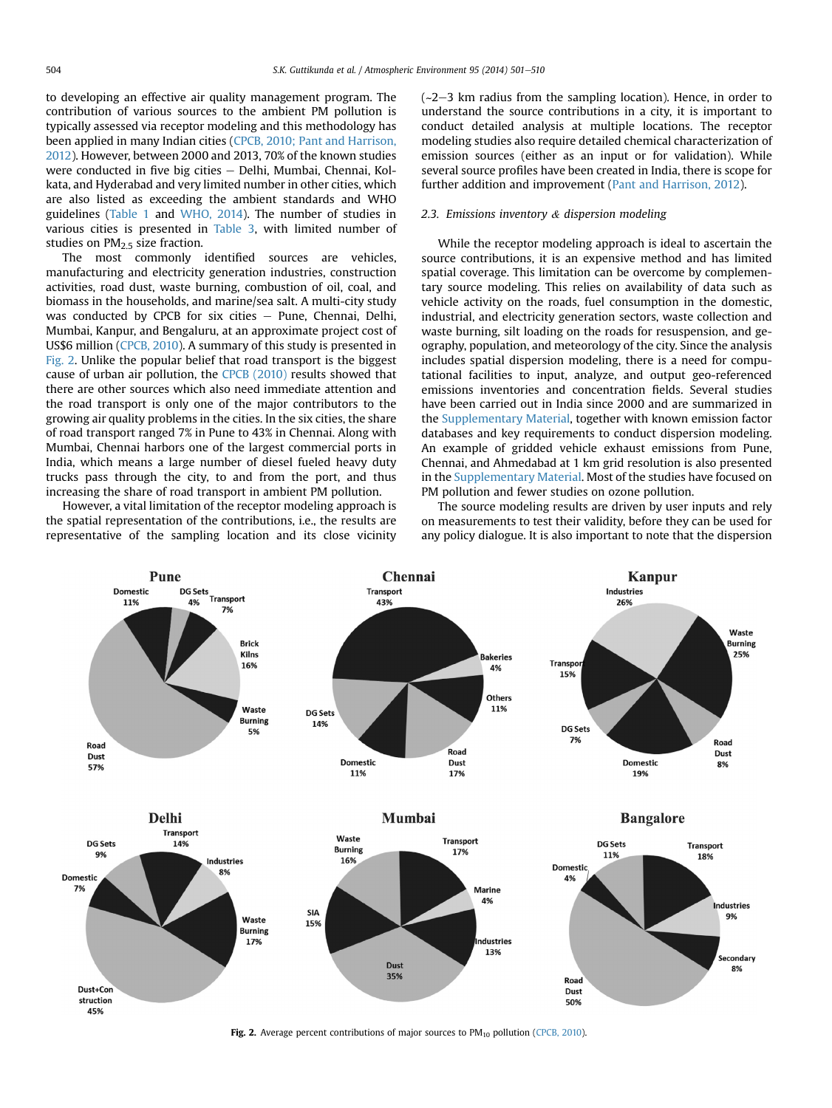<span id="page-3-0"></span>to developing an effective air quality management program. The contribution of various sources to the ambient PM pollution is typically assessed via receptor modeling and this methodology has been applied in many Indian cities [\(CPCB, 2010; Pant and Harrison,](#page-8-0) [2012](#page-8-0)). However, between 2000 and 2013, 70% of the known studies were conducted in five big cities - Delhi, Mumbai, Chennai, Kolkata, and Hyderabad and very limited number in other cities, which are also listed as exceeding the ambient standards and WHO guidelines ([Table 1](#page-1-0) and [WHO, 2014\)](#page-9-0). The number of studies in various cities is presented in [Table 3](#page-2-0), with limited number of studies on PM2.5 size fraction.

The most commonly identified sources are vehicles, manufacturing and electricity generation industries, construction activities, road dust, waste burning, combustion of oil, coal, and biomass in the households, and marine/sea salt. A multi-city study was conducted by CPCB for six cities  $-$  Pune, Chennai, Delhi, Mumbai, Kanpur, and Bengaluru, at an approximate project cost of US\$6 million [\(CPCB, 2010\)](#page-8-0). A summary of this study is presented in Fig. 2. Unlike the popular belief that road transport is the biggest cause of urban air pollution, the [CPCB \(2010\)](#page-8-0) results showed that there are other sources which also need immediate attention and the road transport is only one of the major contributors to the growing air quality problems in the cities. In the six cities, the share of road transport ranged 7% in Pune to 43% in Chennai. Along with Mumbai, Chennai harbors one of the largest commercial ports in India, which means a large number of diesel fueled heavy duty trucks pass through the city, to and from the port, and thus increasing the share of road transport in ambient PM pollution.

However, a vital limitation of the receptor modeling approach is the spatial representation of the contributions, i.e., the results are representative of the sampling location and its close vicinity  $(-2-3)$  km radius from the sampling location). Hence, in order to understand the source contributions in a city, it is important to conduct detailed analysis at multiple locations. The receptor modeling studies also require detailed chemical characterization of emission sources (either as an input or for validation). While several source profiles have been created in India, there is scope for further addition and improvement [\(Pant and Harrison, 2012\)](#page-9-0).

#### 2.3. Emissions inventory & dispersion modeling

While the receptor modeling approach is ideal to ascertain the source contributions, it is an expensive method and has limited spatial coverage. This limitation can be overcome by complementary source modeling. This relies on availability of data such as vehicle activity on the roads, fuel consumption in the domestic, industrial, and electricity generation sectors, waste collection and waste burning, silt loading on the roads for resuspension, and geography, population, and meteorology of the city. Since the analysis includes spatial dispersion modeling, there is a need for computational facilities to input, analyze, and output geo-referenced emissions inventories and concentration fields. Several studies have been carried out in India since 2000 and are summarized in the Supplementary Material, together with known emission factor databases and key requirements to conduct dispersion modeling. An example of gridded vehicle exhaust emissions from Pune, Chennai, and Ahmedabad at 1 km grid resolution is also presented in the Supplementary Material. Most of the studies have focused on PM pollution and fewer studies on ozone pollution.

The source modeling results are driven by user inputs and rely on measurements to test their validity, before they can be used for any policy dialogue. It is also important to note that the dispersion



Fig. 2. Average percent contributions of major sources to  $PM_{10}$  pollution ([CPCB, 2010\)](#page-8-0).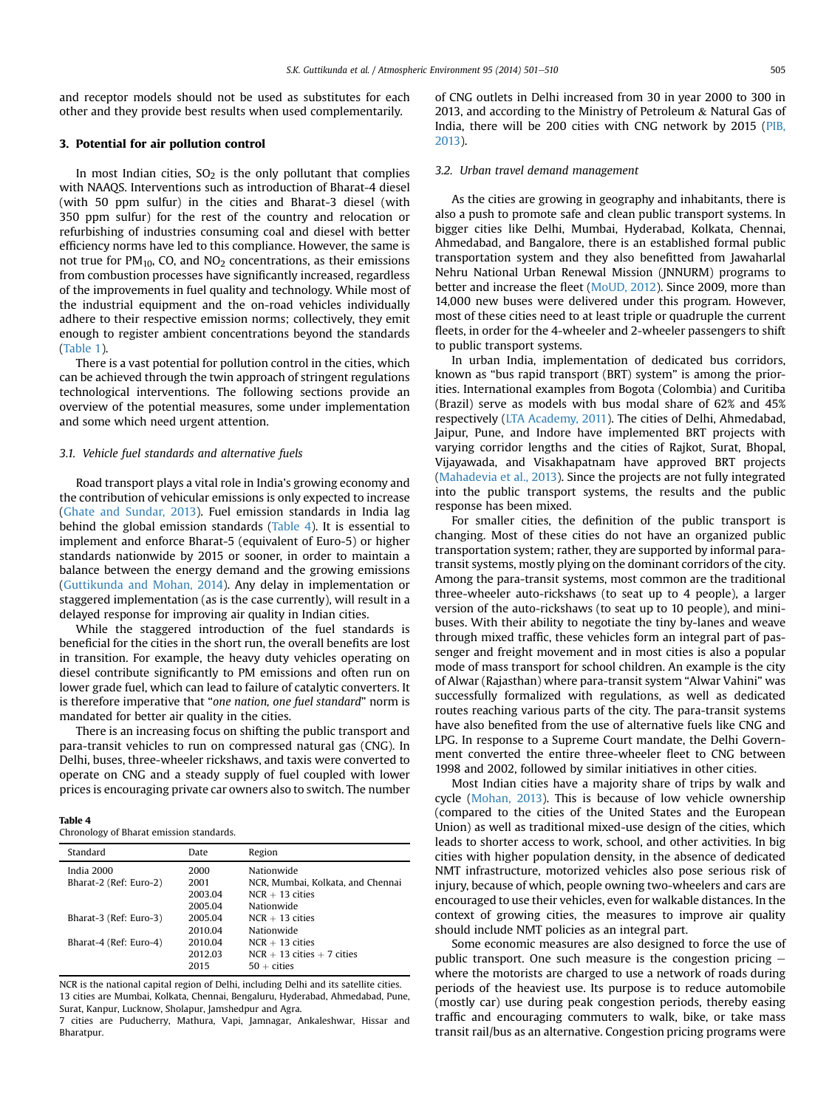and receptor models should not be used as substitutes for each other and they provide best results when used complementarily.

# 3. Potential for air pollution control

In most Indian cities,  $SO<sub>2</sub>$  is the only pollutant that complies with NAAQS. Interventions such as introduction of Bharat-4 diesel (with 50 ppm sulfur) in the cities and Bharat-3 diesel (with 350 ppm sulfur) for the rest of the country and relocation or refurbishing of industries consuming coal and diesel with better efficiency norms have led to this compliance. However, the same is not true for  $PM_{10}$ , CO, and  $NO<sub>2</sub>$  concentrations, as their emissions from combustion processes have significantly increased, regardless of the improvements in fuel quality and technology. While most of the industrial equipment and the on-road vehicles individually adhere to their respective emission norms; collectively, they emit enough to register ambient concentrations beyond the standards ([Table 1\)](#page-1-0).

There is a vast potential for pollution control in the cities, which can be achieved through the twin approach of stringent regulations technological interventions. The following sections provide an overview of the potential measures, some under implementation and some which need urgent attention.

# 3.1. Vehicle fuel standards and alternative fuels

Road transport plays a vital role in India's growing economy and the contribution of vehicular emissions is only expected to increase ([Ghate and Sundar, 2013\)](#page-8-0). Fuel emission standards in India lag behind the global emission standards (Table 4). It is essential to implement and enforce Bharat-5 (equivalent of Euro-5) or higher standards nationwide by 2015 or sooner, in order to maintain a balance between the energy demand and the growing emissions ([Guttikunda and Mohan, 2014\)](#page-8-0). Any delay in implementation or staggered implementation (as is the case currently), will result in a delayed response for improving air quality in Indian cities.

While the staggered introduction of the fuel standards is beneficial for the cities in the short run, the overall benefits are lost in transition. For example, the heavy duty vehicles operating on diesel contribute significantly to PM emissions and often run on lower grade fuel, which can lead to failure of catalytic converters. It is therefore imperative that "one nation, one fuel standard" norm is mandated for better air quality in the cities.

There is an increasing focus on shifting the public transport and para-transit vehicles to run on compressed natural gas (CNG). In Delhi, buses, three-wheeler rickshaws, and taxis were converted to operate on CNG and a steady supply of fuel coupled with lower prices is encouraging private car owners also to switch. The number

#### Table 4

Chronology of Bharat emission standards.

| Standard               | Date    | Region                            |
|------------------------|---------|-----------------------------------|
| India 2000             | 2000    | Nationwide                        |
| Bharat-2 (Ref: Euro-2) | 2001    | NCR, Mumbai, Kolkata, and Chennai |
|                        | 2003.04 | $NCR + 13$ cities                 |
|                        | 2005.04 | Nationwide                        |
| Bharat-3 (Ref: Euro-3) | 2005.04 | $NCR + 13$ cities                 |
|                        | 2010.04 | Nationwide                        |
| Bharat-4 (Ref: Euro-4) | 2010.04 | $NCR + 13$ cities                 |
|                        | 2012.03 | $NCR + 13$ cities $+ 7$ cities    |
|                        | 2015    | $50 + cities$                     |

NCR is the national capital region of Delhi, including Delhi and its satellite cities. 13 cities are Mumbai, Kolkata, Chennai, Bengaluru, Hyderabad, Ahmedabad, Pune, Surat, Kanpur, Lucknow, Sholapur, Jamshedpur and Agra.

7 cities are Puducherry, Mathura, Vapi, Jamnagar, Ankaleshwar, Hissar and Bharatpur.

of CNG outlets in Delhi increased from 30 in year 2000 to 300 in 2013, and according to the Ministry of Petroleum & Natural Gas of India, there will be 200 cities with CNG network by 2015 ([PIB,](#page-9-0) [2013\)](#page-9-0).

# 3.2. Urban travel demand management

As the cities are growing in geography and inhabitants, there is also a push to promote safe and clean public transport systems. In bigger cities like Delhi, Mumbai, Hyderabad, Kolkata, Chennai, Ahmedabad, and Bangalore, there is an established formal public transportation system and they also benefitted from Jawaharlal Nehru National Urban Renewal Mission (JNNURM) programs to better and increase the fleet [\(MoUD, 2012\)](#page-9-0). Since 2009, more than 14,000 new buses were delivered under this program. However, most of these cities need to at least triple or quadruple the current fleets, in order for the 4-wheeler and 2-wheeler passengers to shift to public transport systems.

In urban India, implementation of dedicated bus corridors, known as "bus rapid transport (BRT) system" is among the priorities. International examples from Bogota (Colombia) and Curitiba (Brazil) serve as models with bus modal share of 62% and 45% respectively [\(LTA Academy, 2011\)](#page-9-0). The cities of Delhi, Ahmedabad, Jaipur, Pune, and Indore have implemented BRT projects with varying corridor lengths and the cities of Rajkot, Surat, Bhopal, Vijayawada, and Visakhapatnam have approved BRT projects ([Mahadevia et al., 2013\)](#page-9-0). Since the projects are not fully integrated into the public transport systems, the results and the public response has been mixed.

For smaller cities, the definition of the public transport is changing. Most of these cities do not have an organized public transportation system; rather, they are supported by informal paratransit systems, mostly plying on the dominant corridors of the city. Among the para-transit systems, most common are the traditional three-wheeler auto-rickshaws (to seat up to 4 people), a larger version of the auto-rickshaws (to seat up to 10 people), and minibuses. With their ability to negotiate the tiny by-lanes and weave through mixed traffic, these vehicles form an integral part of passenger and freight movement and in most cities is also a popular mode of mass transport for school children. An example is the city of Alwar (Rajasthan) where para-transit system "Alwar Vahini" was successfully formalized with regulations, as well as dedicated routes reaching various parts of the city. The para-transit systems have also benefited from the use of alternative fuels like CNG and LPG. In response to a Supreme Court mandate, the Delhi Government converted the entire three-wheeler fleet to CNG between 1998 and 2002, followed by similar initiatives in other cities.

Most Indian cities have a majority share of trips by walk and cycle [\(Mohan, 2013](#page-9-0)). This is because of low vehicle ownership (compared to the cities of the United States and the European Union) as well as traditional mixed-use design of the cities, which leads to shorter access to work, school, and other activities. In big cities with higher population density, in the absence of dedicated NMT infrastructure, motorized vehicles also pose serious risk of injury, because of which, people owning two-wheelers and cars are encouraged to use their vehicles, even for walkable distances. In the context of growing cities, the measures to improve air quality should include NMT policies as an integral part.

Some economic measures are also designed to force the use of public transport. One such measure is the congestion pricing  $-\frac{1}{2}$ where the motorists are charged to use a network of roads during periods of the heaviest use. Its purpose is to reduce automobile (mostly car) use during peak congestion periods, thereby easing traffic and encouraging commuters to walk, bike, or take mass transit rail/bus as an alternative. Congestion pricing programs were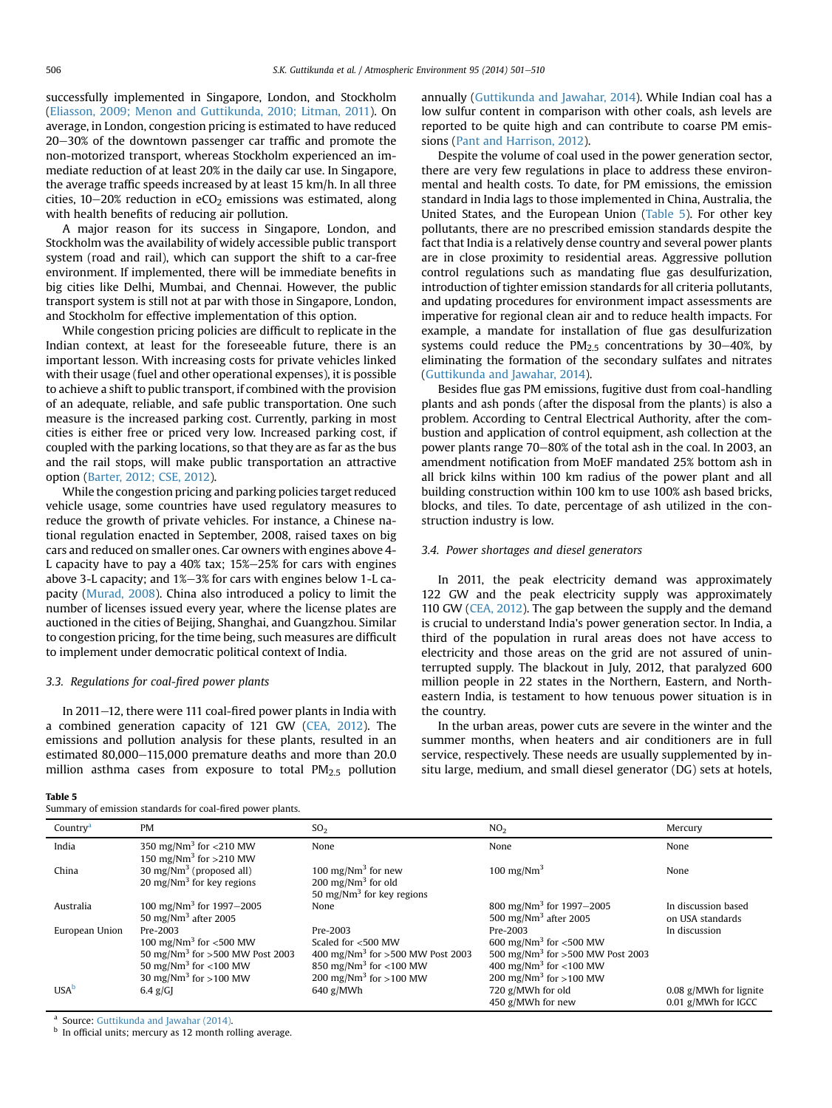successfully implemented in Singapore, London, and Stockholm ([Eliasson, 2009; Menon and Guttikunda, 2010; Litman, 2011\)](#page-8-0). On average, in London, congestion pricing is estimated to have reduced  $20-30%$  of the downtown passenger car traffic and promote the non-motorized transport, whereas Stockholm experienced an immediate reduction of at least 20% in the daily car use. In Singapore, the average traffic speeds increased by at least 15 km/h. In all three cities,  $10-20\%$  reduction in eCO<sub>2</sub> emissions was estimated, along with health benefits of reducing air pollution.

A major reason for its success in Singapore, London, and Stockholm was the availability of widely accessible public transport system (road and rail), which can support the shift to a car-free environment. If implemented, there will be immediate benefits in big cities like Delhi, Mumbai, and Chennai. However, the public transport system is still not at par with those in Singapore, London, and Stockholm for effective implementation of this option.

While congestion pricing policies are difficult to replicate in the Indian context, at least for the foreseeable future, there is an important lesson. With increasing costs for private vehicles linked with their usage (fuel and other operational expenses), it is possible to achieve a shift to public transport, if combined with the provision of an adequate, reliable, and safe public transportation. One such measure is the increased parking cost. Currently, parking in most cities is either free or priced very low. Increased parking cost, if coupled with the parking locations, so that they are as far as the bus and the rail stops, will make public transportation an attractive option ([Barter, 2012; CSE, 2012](#page-8-0)).

While the congestion pricing and parking policies target reduced vehicle usage, some countries have used regulatory measures to reduce the growth of private vehicles. For instance, a Chinese national regulation enacted in September, 2008, raised taxes on big cars and reduced on smaller ones. Car owners with engines above 4- L capacity have to pay a  $40\%$  tax;  $15\% - 25\%$  for cars with engines above 3-L capacity; and  $1\% - 3\%$  for cars with engines below 1-L capacity ([Murad, 2008](#page-9-0)). China also introduced a policy to limit the number of licenses issued every year, where the license plates are auctioned in the cities of Beijing, Shanghai, and Guangzhou. Similar to congestion pricing, for the time being, such measures are difficult to implement under democratic political context of India.

#### 3.3. Regulations for coal-fired power plants

In 2011 $-12$ , there were 111 coal-fired power plants in India with a combined generation capacity of 121 GW ([CEA, 2012\)](#page-8-0). The emissions and pollution analysis for these plants, resulted in an estimated 80,000-115,000 premature deaths and more than 20.0 million asthma cases from exposure to total PM<sub>2.5</sub> pollution

#### Table 5

Summary of emission standards for coal-fired power plants.

annually [\(Guttikunda and Jawahar, 2014](#page-8-0)). While Indian coal has a low sulfur content in comparison with other coals, ash levels are reported to be quite high and can contribute to coarse PM emissions ([Pant and Harrison, 2012](#page-9-0)).

Despite the volume of coal used in the power generation sector, there are very few regulations in place to address these environmental and health costs. To date, for PM emissions, the emission standard in India lags to those implemented in China, Australia, the United States, and the European Union (Table 5). For other key pollutants, there are no prescribed emission standards despite the fact that India is a relatively dense country and several power plants are in close proximity to residential areas. Aggressive pollution control regulations such as mandating flue gas desulfurization, introduction of tighter emission standards for all criteria pollutants, and updating procedures for environment impact assessments are imperative for regional clean air and to reduce health impacts. For example, a mandate for installation of flue gas desulfurization systems could reduce the  $PM<sub>2.5</sub>$  concentrations by 30-40%, by eliminating the formation of the secondary sulfates and nitrates ([Guttikunda and Jawahar, 2014](#page-8-0)).

Besides flue gas PM emissions, fugitive dust from coal-handling plants and ash ponds (after the disposal from the plants) is also a problem. According to Central Electrical Authority, after the combustion and application of control equipment, ash collection at the power plants range 70-80% of the total ash in the coal. In 2003, an amendment notification from MoEF mandated 25% bottom ash in all brick kilns within 100 km radius of the power plant and all building construction within 100 km to use 100% ash based bricks, blocks, and tiles. To date, percentage of ash utilized in the construction industry is low.

#### 3.4. Power shortages and diesel generators

In 2011, the peak electricity demand was approximately 122 GW and the peak electricity supply was approximately 110 GW [\(CEA, 2012](#page-8-0)). The gap between the supply and the demand is crucial to understand India's power generation sector. In India, a third of the population in rural areas does not have access to electricity and those areas on the grid are not assured of uninterrupted supply. The blackout in July, 2012, that paralyzed 600 million people in 22 states in the Northern, Eastern, and Northeastern India, is testament to how tenuous power situation is in the country.

In the urban areas, power cuts are severe in the winter and the summer months, when heaters and air conditioners are in full service, respectively. These needs are usually supplemented by insitu large, medium, and small diesel generator (DG) sets at hotels,

| Country <sup>a</sup> | <b>PM</b>                                   | SO <sub>2</sub>                              | NO <sub>2</sub>                              | Mercury                |
|----------------------|---------------------------------------------|----------------------------------------------|----------------------------------------------|------------------------|
| India                | 350 mg/Nm <sup>3</sup> for $\langle$ 210 MW | None                                         | None                                         | None                   |
|                      | 150 mg/Nm <sup>3</sup> for $>$ 210 MW       |                                              |                                              |                        |
| China                | 30 mg/Nm <sup>3</sup> (proposed all)        | 100 mg/Nm <sup>3</sup> for new               | 100 mg/Nm <sup>3</sup>                       | None                   |
|                      | 20 mg/Nm <sup>3</sup> for key regions       | 200 mg/Nm <sup>3</sup> for old               |                                              |                        |
|                      |                                             | 50 mg/Nm <sup>3</sup> for key regions        |                                              |                        |
| Australia            | 100 mg/Nm <sup>3</sup> for 1997–2005        | None                                         | 800 mg/Nm <sup>3</sup> for 1997–2005         | In discussion based    |
|                      | 50 mg/Nm <sup>3</sup> after 2005            |                                              | 500 mg/Nm <sup>3</sup> after 2005            | on USA standards       |
| European Union       | Pre-2003                                    | Pre-2003                                     | Pre-2003                                     | In discussion          |
|                      | 100 mg/Nm <sup>3</sup> for $<$ 500 MW       | Scaled for <500 MW                           | 600 mg/Nm <sup>3</sup> for $<$ 500 MW        |                        |
|                      | 50 mg/Nm <sup>3</sup> for >500 MW Post 2003 | 400 mg/Nm <sup>3</sup> for >500 MW Post 2003 | 500 mg/Nm <sup>3</sup> for >500 MW Post 2003 |                        |
|                      | 50 mg/Nm <sup>3</sup> for <100 MW           | 850 mg/Nm <sup>3</sup> for <100 MW           | 400 mg/Nm <sup>3</sup> for $<$ 100 MW        |                        |
|                      | 30 mg/Nm <sup>3</sup> for >100 MW           | 200 mg/Nm <sup>3</sup> for >100 MW           | 200 mg/Nm <sup>3</sup> for >100 MW           |                        |
| USA <sup>b</sup>     | $6.4$ g/GI                                  | 640 g/MWh                                    | 720 g/MWh for old                            | 0.08 g/MWh for lignite |
|                      |                                             |                                              | 450 g/MWh for new                            | 0.01 g/MWh for IGCC    |

Source: [Guttikunda and Jawahar \(2014\)](#page-8-0).

 $<sup>b</sup>$  In official units; mercury as 12 month rolling average.</sup>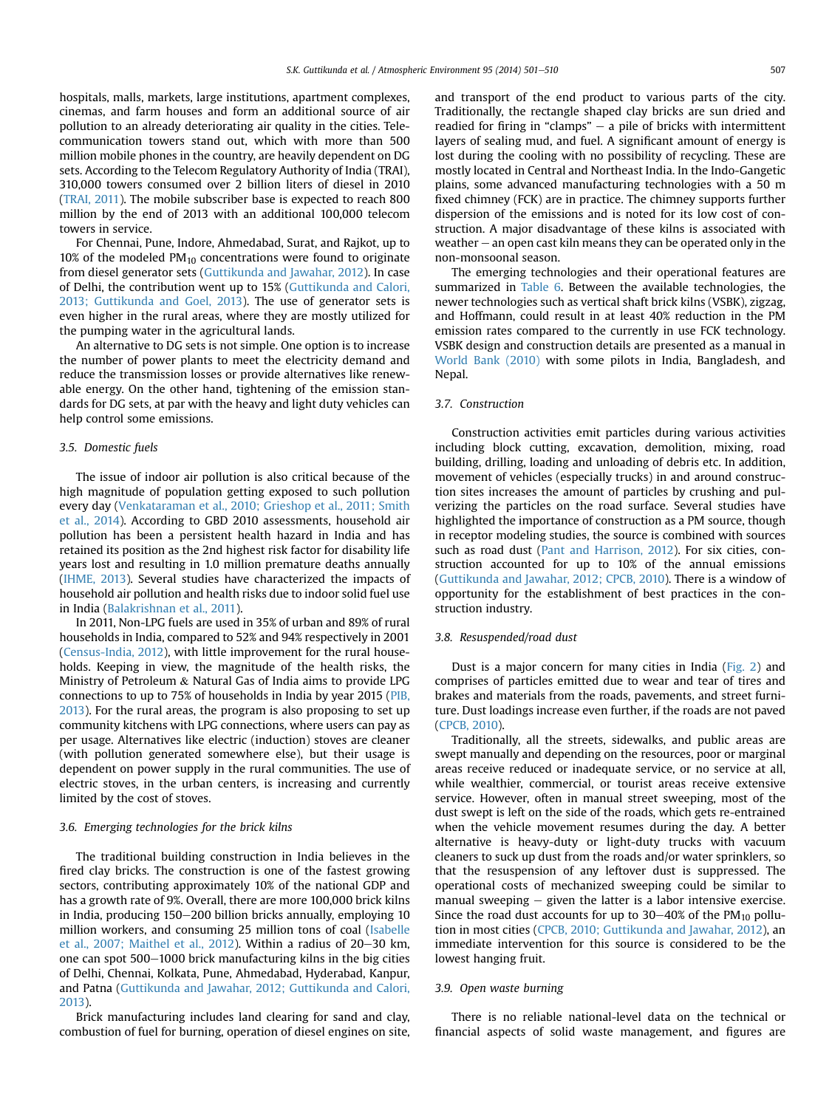hospitals, malls, markets, large institutions, apartment complexes, cinemas, and farm houses and form an additional source of air pollution to an already deteriorating air quality in the cities. Telecommunication towers stand out, which with more than 500 million mobile phones in the country, are heavily dependent on DG sets. According to the Telecom Regulatory Authority of India (TRAI), 310,000 towers consumed over 2 billion liters of diesel in 2010 ([TRAI, 2011\)](#page-9-0). The mobile subscriber base is expected to reach 800 million by the end of 2013 with an additional 100,000 telecom towers in service.

For Chennai, Pune, Indore, Ahmedabad, Surat, and Rajkot, up to 10% of the modeled  $PM_{10}$  concentrations were found to originate from diesel generator sets [\(Guttikunda and Jawahar, 2012](#page-8-0)). In case of Delhi, the contribution went up to 15% [\(Guttikunda and Calori,](#page-8-0) [2013; Guttikunda and Goel, 2013\)](#page-8-0). The use of generator sets is even higher in the rural areas, where they are mostly utilized for the pumping water in the agricultural lands.

An alternative to DG sets is not simple. One option is to increase the number of power plants to meet the electricity demand and reduce the transmission losses or provide alternatives like renewable energy. On the other hand, tightening of the emission standards for DG sets, at par with the heavy and light duty vehicles can help control some emissions.

# 3.5. Domestic fuels

The issue of indoor air pollution is also critical because of the high magnitude of population getting exposed to such pollution every day ([Venkataraman et al., 2010; Grieshop et al., 2011; Smith](#page-9-0) [et al., 2014\)](#page-9-0). According to GBD 2010 assessments, household air pollution has been a persistent health hazard in India and has retained its position as the 2nd highest risk factor for disability life years lost and resulting in 1.0 million premature deaths annually ([IHME, 2013](#page-8-0)). Several studies have characterized the impacts of household air pollution and health risks due to indoor solid fuel use in India [\(Balakrishnan et al., 2011](#page-8-0)).

In 2011, Non-LPG fuels are used in 35% of urban and 89% of rural households in India, compared to 52% and 94% respectively in 2001 ([Census-India, 2012](#page-8-0)), with little improvement for the rural households. Keeping in view, the magnitude of the health risks, the Ministry of Petroleum & Natural Gas of India aims to provide LPG connections to up to 75% of households in India by year 2015 ([PIB,](#page-9-0) [2013\)](#page-9-0). For the rural areas, the program is also proposing to set up community kitchens with LPG connections, where users can pay as per usage. Alternatives like electric (induction) stoves are cleaner (with pollution generated somewhere else), but their usage is dependent on power supply in the rural communities. The use of electric stoves, in the urban centers, is increasing and currently limited by the cost of stoves.

# 3.6. Emerging technologies for the brick kilns

The traditional building construction in India believes in the fired clay bricks. The construction is one of the fastest growing sectors, contributing approximately 10% of the national GDP and has a growth rate of 9%. Overall, there are more 100,000 brick kilns in India, producing 150–200 billion bricks annually, employing 10 million workers, and consuming 25 million tons of coal [\(Isabelle](#page-8-0) [et al., 2007; Maithel et al., 2012\)](#page-8-0). Within a radius of  $20-30$  km, one can spot 500–1000 brick manufacturing kilns in the big cities of Delhi, Chennai, Kolkata, Pune, Ahmedabad, Hyderabad, Kanpur, and Patna [\(Guttikunda and Jawahar, 2012; Guttikunda and Calori,](#page-8-0) [2013\)](#page-8-0).

Brick manufacturing includes land clearing for sand and clay, combustion of fuel for burning, operation of diesel engines on site, and transport of the end product to various parts of the city. Traditionally, the rectangle shaped clay bricks are sun dried and readied for firing in "clamps"  $-$  a pile of bricks with intermittent layers of sealing mud, and fuel. A significant amount of energy is lost during the cooling with no possibility of recycling. These are mostly located in Central and Northeast India. In the Indo-Gangetic plains, some advanced manufacturing technologies with a 50 m fixed chimney (FCK) are in practice. The chimney supports further dispersion of the emissions and is noted for its low cost of construction. A major disadvantage of these kilns is associated with weather  $-$  an open cast kiln means they can be operated only in the non-monsoonal season.

The emerging technologies and their operational features are summarized in [Table 6.](#page-7-0) Between the available technologies, the newer technologies such as vertical shaft brick kilns (VSBK), zigzag, and Hoffmann, could result in at least 40% reduction in the PM emission rates compared to the currently in use FCK technology. VSBK design and construction details are presented as a manual in [World Bank \(2010\)](#page-9-0) with some pilots in India, Bangladesh, and Nepal.

# 3.7. Construction

Construction activities emit particles during various activities including block cutting, excavation, demolition, mixing, road building, drilling, loading and unloading of debris etc. In addition, movement of vehicles (especially trucks) in and around construction sites increases the amount of particles by crushing and pulverizing the particles on the road surface. Several studies have highlighted the importance of construction as a PM source, though in receptor modeling studies, the source is combined with sources such as road dust ([Pant and Harrison, 2012](#page-9-0)). For six cities, construction accounted for up to 10% of the annual emissions ([Guttikunda and Jawahar, 2012; CPCB, 2010\)](#page-8-0). There is a window of opportunity for the establishment of best practices in the construction industry.

#### 3.8. Resuspended/road dust

Dust is a major concern for many cities in India [\(Fig. 2\)](#page-3-0) and comprises of particles emitted due to wear and tear of tires and brakes and materials from the roads, pavements, and street furniture. Dust loadings increase even further, if the roads are not paved ([CPCB, 2010](#page-8-0)).

Traditionally, all the streets, sidewalks, and public areas are swept manually and depending on the resources, poor or marginal areas receive reduced or inadequate service, or no service at all, while wealthier, commercial, or tourist areas receive extensive service. However, often in manual street sweeping, most of the dust swept is left on the side of the roads, which gets re-entrained when the vehicle movement resumes during the day. A better alternative is heavy-duty or light-duty trucks with vacuum cleaners to suck up dust from the roads and/or water sprinklers, so that the resuspension of any leftover dust is suppressed. The operational costs of mechanized sweeping could be similar to manual sweeping  $-$  given the latter is a labor intensive exercise. Since the road dust accounts for up to  $30-40\%$  of the PM<sub>10</sub> pollution in most cities ([CPCB, 2010; Guttikunda and Jawahar, 2012](#page-8-0)), an immediate intervention for this source is considered to be the lowest hanging fruit.

#### 3.9. Open waste burning

There is no reliable national-level data on the technical or financial aspects of solid waste management, and figures are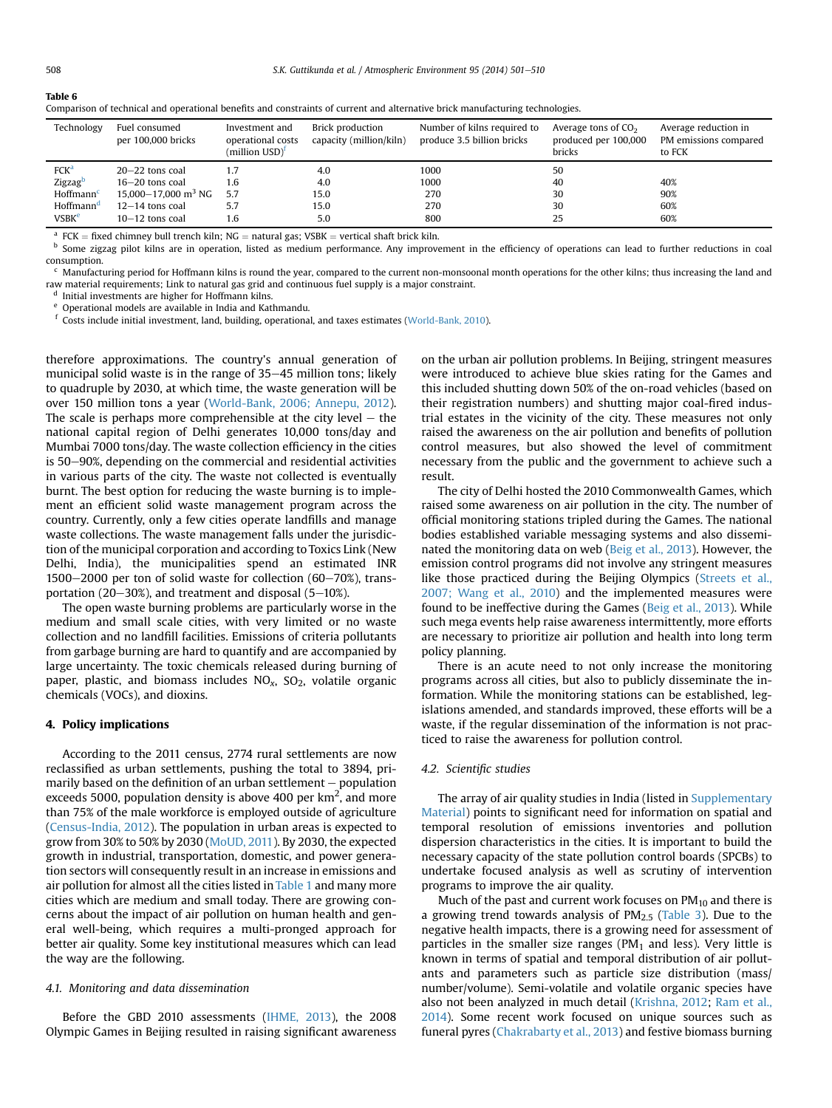<span id="page-7-0"></span>

| ۰.<br>$\sim$ | . . | i |
|--------------|-----|---|
|              |     |   |

### Table 6

|  | Comparison of technical and operational benefits and constraints of current and alternative brick manufacturing technologies. |  |  |  |
|--|-------------------------------------------------------------------------------------------------------------------------------|--|--|--|
|  |                                                                                                                               |  |  |  |

| Technology              | Fuel consumed<br>per 100,000 bricks | Investment and<br>operational costs<br>(million USD) <sup>r</sup> | <b>Brick production</b><br>capacity (million/kiln) | Number of kilns required to<br>produce 3.5 billion bricks | Average tons of $CO2$<br>produced per 100,000<br>bricks | Average reduction in<br>PM emissions compared<br>to FCK |
|-------------------------|-------------------------------------|-------------------------------------------------------------------|----------------------------------------------------|-----------------------------------------------------------|---------------------------------------------------------|---------------------------------------------------------|
| FCK <sup>a</sup>        | $20 - 22$ tons coal                 | 1.7                                                               | 4.0                                                | 1000                                                      | 50                                                      |                                                         |
| Zigzagb                 | $16 - 20$ tons coal                 | 1.6                                                               | 4.0                                                | 1000                                                      | 40                                                      | 40%                                                     |
| Hoffmann <sup>c</sup>   | 15,000 $-17,000$ m <sup>3</sup> NG  | 5.7                                                               | 15.0                                               | 270                                                       | 30                                                      | 90%                                                     |
| Hoffmann <sup>d</sup>   | $12-14$ tons coal                   | 5.7                                                               | 15.0                                               | 270                                                       | 30                                                      | 60%                                                     |
| <b>VSBK<sup>e</sup></b> | $10-12$ tons coal                   | 1.6                                                               | 5.0                                                | 800                                                       | 25                                                      | 60%                                                     |

 $^{\text{a}}$  FCK = fixed chimney bull trench kiln; NG = natural gas; VSBK = vertical shaft brick kiln.<br><sup>b</sup> Some zigzag pilot kilns are in operation, listed as medium performance. Any improvement in the efficiency of operation consumption.

<sup>c</sup> Manufacturing period for Hoffmann kilns is round the year, compared to the current non-monsoonal month operations for the other kilns; thus increasing the land and raw material requirements; Link to natural gas grid and continuous fuel supply is a major constraint.

<sup>d</sup> Initial investments are higher for Hoffmann kilns.

<sup>e</sup> Operational models are available in India and Kathmandu. <sup>f</sup> Costs include initial investment, land, building, operational, and taxes estimates [\(World-Bank, 2010\)](#page-9-0).

therefore approximations. The country's annual generation of municipal solid waste is in the range of 35–45 million tons; likely to quadruple by 2030, at which time, the waste generation will be over 150 million tons a year [\(World-Bank, 2006; Annepu, 2012\)](#page-9-0). The scale is perhaps more comprehensible at the city level  $-$  the national capital region of Delhi generates 10,000 tons/day and Mumbai 7000 tons/day. The waste collection efficiency in the cities is 50–90%, depending on the commercial and residential activities in various parts of the city. The waste not collected is eventually burnt. The best option for reducing the waste burning is to implement an efficient solid waste management program across the country. Currently, only a few cities operate landfills and manage waste collections. The waste management falls under the jurisdiction of the municipal corporation and according to Toxics Link (New Delhi, India), the municipalities spend an estimated INR 1500 $-2000$  per ton of solid waste for collection (60 $-70%$ ), transportation (20 $-30\%$ ), and treatment and disposal (5 $-10\%$ ).

The open waste burning problems are particularly worse in the medium and small scale cities, with very limited or no waste collection and no landfill facilities. Emissions of criteria pollutants from garbage burning are hard to quantify and are accompanied by large uncertainty. The toxic chemicals released during burning of paper, plastic, and biomass includes  $NO<sub>x</sub>$ ,  $SO<sub>2</sub>$ , volatile organic chemicals (VOCs), and dioxins.

#### 4. Policy implications

According to the 2011 census, 2774 rural settlements are now reclassified as urban settlements, pushing the total to 3894, primarily based on the definition of an urban settlement  $-$  population exceeds 5000, population density is above 400 per km<sup>2</sup>, and more than 75% of the male workforce is employed outside of agriculture ([Census-India, 2012](#page-8-0)). The population in urban areas is expected to grow from 30% to 50% by 2030 [\(MoUD, 2011\)](#page-9-0). By 2030, the expected growth in industrial, transportation, domestic, and power generation sectors will consequently result in an increase in emissions and air pollution for almost all the cities listed in [Table 1](#page-1-0) and many more cities which are medium and small today. There are growing concerns about the impact of air pollution on human health and general well-being, which requires a multi-pronged approach for better air quality. Some key institutional measures which can lead the way are the following.

#### 4.1. Monitoring and data dissemination

Before the GBD 2010 assessments [\(IHME, 2013](#page-8-0)), the 2008 Olympic Games in Beijing resulted in raising significant awareness on the urban air pollution problems. In Beijing, stringent measures were introduced to achieve blue skies rating for the Games and this included shutting down 50% of the on-road vehicles (based on their registration numbers) and shutting major coal-fired industrial estates in the vicinity of the city. These measures not only raised the awareness on the air pollution and benefits of pollution control measures, but also showed the level of commitment necessary from the public and the government to achieve such a result.

The city of Delhi hosted the 2010 Commonwealth Games, which raised some awareness on air pollution in the city. The number of official monitoring stations tripled during the Games. The national bodies established variable messaging systems and also disseminated the monitoring data on web ([Beig et al., 2013](#page-8-0)). However, the emission control programs did not involve any stringent measures like those practiced during the Beijing Olympics [\(Streets et al.,](#page-9-0) [2007; Wang et al., 2010\)](#page-9-0) and the implemented measures were found to be ineffective during the Games [\(Beig et al., 2013\)](#page-8-0). While such mega events help raise awareness intermittently, more efforts are necessary to prioritize air pollution and health into long term policy planning.

There is an acute need to not only increase the monitoring programs across all cities, but also to publicly disseminate the information. While the monitoring stations can be established, legislations amended, and standards improved, these efforts will be a waste, if the regular dissemination of the information is not practiced to raise the awareness for pollution control.

#### 4.2. Scientific studies

The array of air quality studies in India (listed in Supplementary Material) points to significant need for information on spatial and temporal resolution of emissions inventories and pollution dispersion characteristics in the cities. It is important to build the necessary capacity of the state pollution control boards (SPCBs) to undertake focused analysis as well as scrutiny of intervention programs to improve the air quality.

Much of the past and current work focuses on  $PM_{10}$  and there is a growing trend towards analysis of  $PM<sub>2.5</sub>$  [\(Table 3](#page-2-0)). Due to the negative health impacts, there is a growing need for assessment of particles in the smaller size ranges ( $PM<sub>1</sub>$  and less). Very little is known in terms of spatial and temporal distribution of air pollutants and parameters such as particle size distribution (mass/ number/volume). Semi-volatile and volatile organic species have also not been analyzed in much detail ([Krishna, 2012;](#page-8-0) [Ram et al.,](#page-9-0) [2014\)](#page-9-0). Some recent work focused on unique sources such as funeral pyres ([Chakrabarty et al., 2013\)](#page-8-0) and festive biomass burning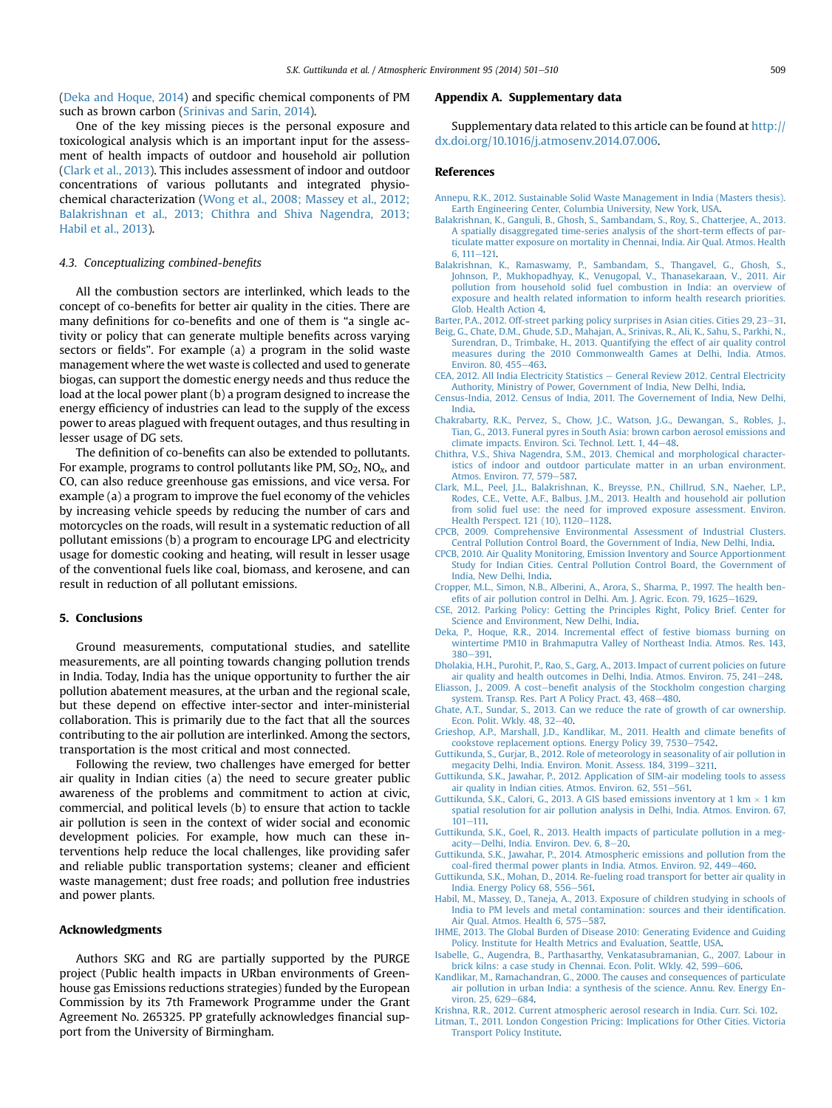<span id="page-8-0"></span>(Deka and Hoque, 2014) and specific chemical components of PM such as brown carbon [\(Srinivas and Sarin, 2014\)](#page-9-0).

One of the key missing pieces is the personal exposure and toxicological analysis which is an important input for the assessment of health impacts of outdoor and household air pollution (Clark et al., 2013). This includes assessment of indoor and outdoor concentrations of various pollutants and integrated physiochemical characterization ([Wong et al., 2008; Massey et al., 2012;](#page-9-0) [Balakrishnan et al., 2013; Chithra and Shiva Nagendra, 2013;](#page-9-0) [Habil et al., 2013\)](#page-9-0).

#### 4.3. Conceptualizing combined-benefits

All the combustion sectors are interlinked, which leads to the concept of co-benefits for better air quality in the cities. There are many definitions for co-benefits and one of them is "a single activity or policy that can generate multiple benefits across varying sectors or fields". For example (a) a program in the solid waste management where the wet waste is collected and used to generate biogas, can support the domestic energy needs and thus reduce the load at the local power plant (b) a program designed to increase the energy efficiency of industries can lead to the supply of the excess power to areas plagued with frequent outages, and thus resulting in lesser usage of DG sets.

The definition of co-benefits can also be extended to pollutants. For example, programs to control pollutants like PM,  $SO_2$ ,  $NO_x$ , and CO, can also reduce greenhouse gas emissions, and vice versa. For example (a) a program to improve the fuel economy of the vehicles by increasing vehicle speeds by reducing the number of cars and motorcycles on the roads, will result in a systematic reduction of all pollutant emissions (b) a program to encourage LPG and electricity usage for domestic cooking and heating, will result in lesser usage of the conventional fuels like coal, biomass, and kerosene, and can result in reduction of all pollutant emissions.

#### 5. Conclusions

Ground measurements, computational studies, and satellite measurements, are all pointing towards changing pollution trends in India. Today, India has the unique opportunity to further the air pollution abatement measures, at the urban and the regional scale, but these depend on effective inter-sector and inter-ministerial collaboration. This is primarily due to the fact that all the sources contributing to the air pollution are interlinked. Among the sectors, transportation is the most critical and most connected.

Following the review, two challenges have emerged for better air quality in Indian cities (a) the need to secure greater public awareness of the problems and commitment to action at civic, commercial, and political levels (b) to ensure that action to tackle air pollution is seen in the context of wider social and economic development policies. For example, how much can these interventions help reduce the local challenges, like providing safer and reliable public transportation systems; cleaner and efficient waste management; dust free roads; and pollution free industries and power plants.

#### Acknowledgments

Authors SKG and RG are partially supported by the PURGE project (Public health impacts in URban environments of Greenhouse gas Emissions reductions strategies) funded by the European Commission by its 7th Framework Programme under the Grant Agreement No. 265325. PP gratefully acknowledges financial support from the University of Birmingham.

#### Appendix A. Supplementary data

Supplementary data related to this article can be found at [http://](http://dx.doi.org/10.1016/j.atmosenv.2014.07.006) [dx.doi.org/10.1016/j.atmosenv.2014.07.006.](http://dx.doi.org/10.1016/j.atmosenv.2014.07.006)

#### References

- [Annepu, R.K., 2012. Sustainable Solid Waste Management in India \(Masters thesis\).](http://refhub.elsevier.com/S1352-2310(14)00527-5/sref1) [Earth Engineering Center, Columbia University, New York, USA](http://refhub.elsevier.com/S1352-2310(14)00527-5/sref1).
- [Balakrishnan, K., Ganguli, B., Ghosh, S., Sambandam, S., Roy, S., Chatterjee, A., 2013.](http://refhub.elsevier.com/S1352-2310(14)00527-5/sref2) [A spatially disaggregated time-series analysis of the short-term effects of par](http://refhub.elsevier.com/S1352-2310(14)00527-5/sref2)[ticulate matter exposure on mortality in Chennai, India. Air Qual. Atmos. Health](http://refhub.elsevier.com/S1352-2310(14)00527-5/sref2)  $6, 111 - 121.$  $6, 111 - 121.$  $6, 111 - 121.$
- Balakrishnan, K., Ramaswamy, P., Sambandam, S., Thangavel, G., Ghosh, S. [Johnson, P., Mukhopadhyay, K., Venugopal, V., Thanasekaraan, V., 2011. Air](http://refhub.elsevier.com/S1352-2310(14)00527-5/sref3) [pollution from household solid fuel combustion in India: an overview of](http://refhub.elsevier.com/S1352-2310(14)00527-5/sref3) [exposure and health related information to inform health research priorities.](http://refhub.elsevier.com/S1352-2310(14)00527-5/sref3) [Glob. Health Action 4](http://refhub.elsevier.com/S1352-2310(14)00527-5/sref3).
- [Barter, P.A., 2012. Off-street parking policy surprises in Asian cities. Cities 29, 23](http://refhub.elsevier.com/S1352-2310(14)00527-5/sref4)-[31.](http://refhub.elsevier.com/S1352-2310(14)00527-5/sref4)
- [Beig, G., Chate, D.M., Ghude, S.D., Mahajan, A., Srinivas, R., Ali, K., Sahu, S., Parkhi, N.,](http://refhub.elsevier.com/S1352-2310(14)00527-5/sref5) [Surendran, D., Trimbake, H., 2013. Quantifying the effect of air quality control](http://refhub.elsevier.com/S1352-2310(14)00527-5/sref5) [measures during the 2010 Commonwealth Games at Delhi, India. Atmos.](http://refhub.elsevier.com/S1352-2310(14)00527-5/sref5) [Environ. 80, 455](http://refhub.elsevier.com/S1352-2310(14)00527-5/sref5)-[463.](http://refhub.elsevier.com/S1352-2310(14)00527-5/sref5)
- [CEA, 2012. All India Electricity Statistics](http://refhub.elsevier.com/S1352-2310(14)00527-5/sref6) [General Review 2012. Central Electricity](http://refhub.elsevier.com/S1352-2310(14)00527-5/sref6) [Authority, Ministry of Power, Government of India, New Delhi, India](http://refhub.elsevier.com/S1352-2310(14)00527-5/sref6).
- [Census-India, 2012. Census of India, 2011. The Governement of India, New Delhi,](http://refhub.elsevier.com/S1352-2310(14)00527-5/sref7) [India.](http://refhub.elsevier.com/S1352-2310(14)00527-5/sref7)
- [Chakrabarty, R.K., Pervez, S., Chow, J.C., Watson, J.G., Dewangan, S., Robles, J.,](http://refhub.elsevier.com/S1352-2310(14)00527-5/sref8) [Tian, G., 2013. Funeral pyres in South Asia: brown carbon aerosol emissions and](http://refhub.elsevier.com/S1352-2310(14)00527-5/sref8) [climate impacts. Environ. Sci. Technol. Lett. 1, 44](http://refhub.elsevier.com/S1352-2310(14)00527-5/sref8)-[48](http://refhub.elsevier.com/S1352-2310(14)00527-5/sref8).
- [Chithra, V.S., Shiva Nagendra, S.M., 2013. Chemical and morphological character](http://refhub.elsevier.com/S1352-2310(14)00527-5/sref9)[istics of indoor and outdoor particulate matter in an urban environment.](http://refhub.elsevier.com/S1352-2310(14)00527-5/sref9) [Atmos. Environ. 77, 579](http://refhub.elsevier.com/S1352-2310(14)00527-5/sref9)-[587.](http://refhub.elsevier.com/S1352-2310(14)00527-5/sref9)
- [Clark, M.L., Peel, J.L., Balakrishnan, K., Breysse, P.N., Chillrud, S.N., Naeher, L.P.,](http://refhub.elsevier.com/S1352-2310(14)00527-5/sref10) [Rodes, C.E., Vette, A.F., Balbus, J.M., 2013. Health and household air pollution](http://refhub.elsevier.com/S1352-2310(14)00527-5/sref10) [from solid fuel use: the need for improved exposure assessment. Environ.](http://refhub.elsevier.com/S1352-2310(14)00527-5/sref10) [Health Perspect. 121 \(10\), 1120](http://refhub.elsevier.com/S1352-2310(14)00527-5/sref10)-[1128](http://refhub.elsevier.com/S1352-2310(14)00527-5/sref10).
- [CPCB, 2009. Comprehensive Environmental Assessment of Industrial Clusters.](http://refhub.elsevier.com/S1352-2310(14)00527-5/sref11) [Central Pollution Control Board, the Government of India, New Delhi, India](http://refhub.elsevier.com/S1352-2310(14)00527-5/sref11).
- [CPCB, 2010. Air Quality Monitoring, Emission Inventory and Source Apportionment](http://refhub.elsevier.com/S1352-2310(14)00527-5/sref12) [Study for Indian Cities. Central Pollution Control Board, the Government of](http://refhub.elsevier.com/S1352-2310(14)00527-5/sref12) [India, New Delhi, India](http://refhub.elsevier.com/S1352-2310(14)00527-5/sref12).
- [Cropper, M.L., Simon, N.B., Alberini, A., Arora, S., Sharma, P., 1997. The health ben](http://refhub.elsevier.com/S1352-2310(14)00527-5/sref13)efi[ts of air pollution control in Delhi. Am. J. Agric. Econ. 79, 1625](http://refhub.elsevier.com/S1352-2310(14)00527-5/sref13)-[1629.](http://refhub.elsevier.com/S1352-2310(14)00527-5/sref13)
- [CSE, 2012. Parking Policy: Getting the Principles Right, Policy Brief. Center for](http://refhub.elsevier.com/S1352-2310(14)00527-5/sref14) [Science and Environment, New Delhi, India.](http://refhub.elsevier.com/S1352-2310(14)00527-5/sref14)
- [Deka, P., Hoque, R.R., 2014. Incremental effect of festive biomass burning on](http://refhub.elsevier.com/S1352-2310(14)00527-5/sref15) [wintertime PM10 in Brahmaputra Valley of Northeast India. Atmos. Res. 143,](http://refhub.elsevier.com/S1352-2310(14)00527-5/sref15) [380](http://refhub.elsevier.com/S1352-2310(14)00527-5/sref15)-[391.](http://refhub.elsevier.com/S1352-2310(14)00527-5/sref15)
- [Dholakia, H.H., Purohit, P., Rao, S., Garg, A., 2013. Impact of current policies on future](http://refhub.elsevier.com/S1352-2310(14)00527-5/sref16) air quality and health outcomes in Delhi, India. Atmos. Environ.  $75.241-248$ .
- [Eliasson, J., 2009. A cost](http://refhub.elsevier.com/S1352-2310(14)00527-5/sref17)-benefi[t analysis of the Stockholm congestion charging](http://refhub.elsevier.com/S1352-2310(14)00527-5/sref17) [system. Transp. Res. Part A Policy Pract. 43, 468](http://refhub.elsevier.com/S1352-2310(14)00527-5/sref17)-[480.](http://refhub.elsevier.com/S1352-2310(14)00527-5/sref17)
- [Ghate, A.T., Sundar, S., 2013. Can we reduce the rate of growth of car ownership.](http://refhub.elsevier.com/S1352-2310(14)00527-5/sref18) Econ. Polit. Wkly.  $48, 32-40$  $48, 32-40$ .
- [Grieshop, A.P., Marshall, J.D., Kandlikar, M., 2011. Health and climate bene](http://refhub.elsevier.com/S1352-2310(14)00527-5/sref19)fits of [cookstove replacement options. Energy Policy 39, 7530](http://refhub.elsevier.com/S1352-2310(14)00527-5/sref19)-[7542](http://refhub.elsevier.com/S1352-2310(14)00527-5/sref19).
- [Guttikunda, S., Gurjar, B., 2012. Role of meteorology in seasonality of air pollution in](http://refhub.elsevier.com/S1352-2310(14)00527-5/sref20) [megacity Delhi, India. Environ. Monit. Assess. 184, 3199](http://refhub.elsevier.com/S1352-2310(14)00527-5/sref20)-[3211.](http://refhub.elsevier.com/S1352-2310(14)00527-5/sref20)
- [Guttikunda, S.K., Jawahar, P., 2012. Application of SIM-air modeling tools to assess](http://refhub.elsevier.com/S1352-2310(14)00527-5/sref21) air quality in Indian cities. Atmos. Environ.  $62.551 - 561.$  $62.551 - 561.$
- [Guttikunda, S.K., Calori, G., 2013. A GIS based emissions inventory at 1 km](http://refhub.elsevier.com/S1352-2310(14)00527-5/sref22)  $\times$  [1 km](http://refhub.elsevier.com/S1352-2310(14)00527-5/sref22) [spatial resolution for air pollution analysis in Delhi, India. Atmos. Environ. 67,](http://refhub.elsevier.com/S1352-2310(14)00527-5/sref22)  $101 - 111.$  $101 - 111.$  $101 - 111.$
- [Guttikunda, S.K., Goel, R., 2013. Health impacts of particulate pollution in a meg](http://refhub.elsevier.com/S1352-2310(14)00527-5/sref23)[acity](http://refhub.elsevier.com/S1352-2310(14)00527-5/sref23)-[Delhi, India. Environ. Dev. 6, 8](http://refhub.elsevier.com/S1352-2310(14)00527-5/sref23)-[20.](http://refhub.elsevier.com/S1352-2310(14)00527-5/sref23)
- [Guttikunda, S.K., Jawahar, P., 2014. Atmospheric emissions and pollution from the](http://refhub.elsevier.com/S1352-2310(14)00527-5/sref24) coal-fi[red thermal power plants in India. Atmos. Environ. 92, 449](http://refhub.elsevier.com/S1352-2310(14)00527-5/sref24)-[460.](http://refhub.elsevier.com/S1352-2310(14)00527-5/sref24)
- [Guttikunda, S.K., Mohan, D., 2014. Re-fueling road transport for better air quality in](http://refhub.elsevier.com/S1352-2310(14)00527-5/sref26) [India. Energy Policy 68, 556](http://refhub.elsevier.com/S1352-2310(14)00527-5/sref26)-[561.](http://refhub.elsevier.com/S1352-2310(14)00527-5/sref26)
- [Habil, M., Massey, D., Taneja, A., 2013. Exposure of children studying in schools of](http://refhub.elsevier.com/S1352-2310(14)00527-5/sref27) [India to PM levels and metal contamination: sources and their identi](http://refhub.elsevier.com/S1352-2310(14)00527-5/sref27)fication. [Air Qual. Atmos. Health 6, 575](http://refhub.elsevier.com/S1352-2310(14)00527-5/sref27)-[587.](http://refhub.elsevier.com/S1352-2310(14)00527-5/sref27)
- [IHME, 2013. The Global Burden of Disease 2010: Generating Evidence and Guiding](http://refhub.elsevier.com/S1352-2310(14)00527-5/sref29) [Policy. Institute for Health Metrics and Evaluation, Seattle, USA](http://refhub.elsevier.com/S1352-2310(14)00527-5/sref29).
- [Isabelle, G., Augendra, B., Parthasarthy, Venkatasubramanian, G., 2007. Labour in](http://refhub.elsevier.com/S1352-2310(14)00527-5/sref30) [brick kilns: a case study in Chennai. Econ. Polit. Wkly. 42, 599](http://refhub.elsevier.com/S1352-2310(14)00527-5/sref30)–[606](http://refhub.elsevier.com/S1352-2310(14)00527-5/sref30).
- [Kandlikar, M., Ramachandran, G., 2000. The causes and consequences of particulate](http://refhub.elsevier.com/S1352-2310(14)00527-5/sref31) [air pollution in urban India: a synthesis of the science. Annu. Rev. Energy En](http://refhub.elsevier.com/S1352-2310(14)00527-5/sref31)[viron. 25, 629](http://refhub.elsevier.com/S1352-2310(14)00527-5/sref31)-[684](http://refhub.elsevier.com/S1352-2310(14)00527-5/sref31).
- [Krishna, R.R., 2012. Current atmospheric aerosol research in India. Curr. Sci. 102](http://refhub.elsevier.com/S1352-2310(14)00527-5/sref32).
- [Litman, T., 2011. London Congestion Pricing: Implications for Other Cities. Victoria](http://refhub.elsevier.com/S1352-2310(14)00527-5/sref33) [Transport Policy Institute.](http://refhub.elsevier.com/S1352-2310(14)00527-5/sref33)